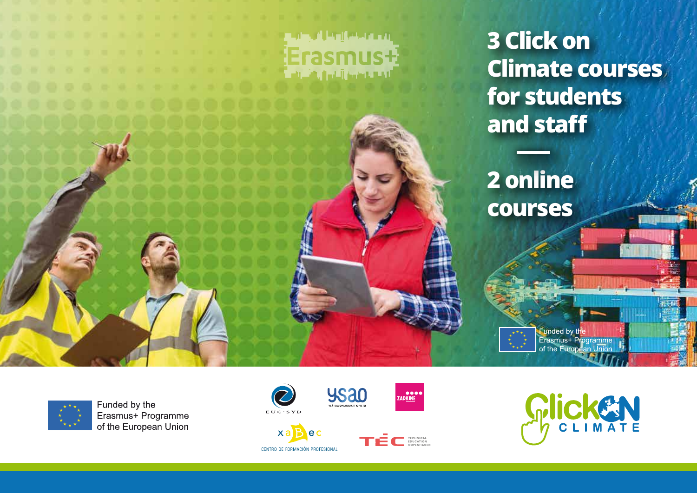



Funded by the Erasmus+ Programme of the European Union



CENTRO DE FORMACIÓN PROFESIONAL

ec

 $x<sub>a</sub>$